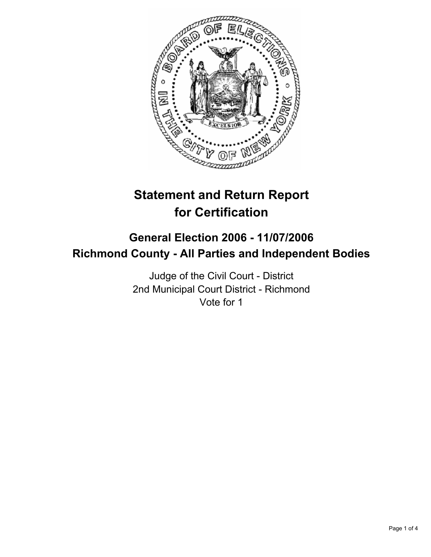

# **Statement and Return Report for Certification**

# **General Election 2006 - 11/07/2006 Richmond County - All Parties and Independent Bodies**

Judge of the Civil Court - District 2nd Municipal Court District - Richmond Vote for 1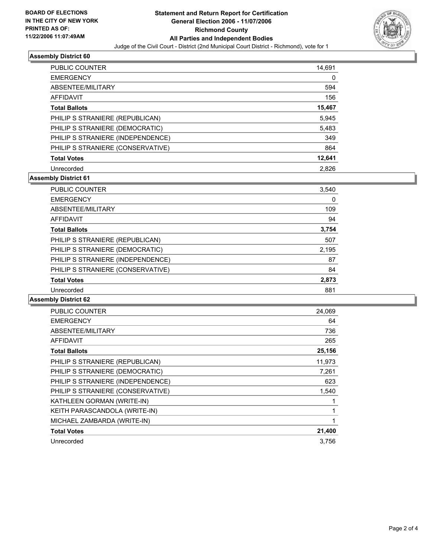

## **Assembly District 60**

| <b>PUBLIC COUNTER</b>             | 14,691 |
|-----------------------------------|--------|
| <b>EMERGENCY</b>                  |        |
| ABSENTEE/MILITARY                 | 594    |
| AFFIDAVIT                         | 156    |
| <b>Total Ballots</b>              | 15,467 |
| PHILIP S STRANIERE (REPUBLICAN)   | 5,945  |
| PHILIP S STRANIERE (DEMOCRATIC)   | 5,483  |
| PHILIP S STRANIERE (INDEPENDENCE) | 349    |
| PHILIP S STRANIERE (CONSERVATIVE) | 864    |
| <b>Total Votes</b>                | 12,641 |
| Unrecorded                        | 2,826  |
|                                   |        |

#### **Assembly District 61**

| PUBLIC COUNTER                    | 3,540 |
|-----------------------------------|-------|
| <b>EMERGENCY</b>                  | 0     |
| ABSENTEE/MILITARY                 | 109   |
| AFFIDAVIT                         | 94    |
| <b>Total Ballots</b>              | 3,754 |
| PHILIP S STRANIERE (REPUBLICAN)   | 507   |
| PHILIP S STRANIERE (DEMOCRATIC)   | 2,195 |
| PHILIP S STRANIERE (INDEPENDENCE) | 87    |
| PHILIP S STRANIERE (CONSERVATIVE) | 84    |
| <b>Total Votes</b>                | 2,873 |
| Unrecorded                        | 881   |

#### **Assembly District 62**

| PUBLIC COUNTER                    | 24,069 |
|-----------------------------------|--------|
| <b>EMERGENCY</b>                  | 64     |
| ABSENTEE/MILITARY                 | 736    |
| <b>AFFIDAVIT</b>                  | 265    |
| <b>Total Ballots</b>              | 25,156 |
| PHILIP S STRANIERE (REPUBLICAN)   | 11,973 |
| PHILIP S STRANIERE (DEMOCRATIC)   | 7,261  |
| PHILIP S STRANIERE (INDEPENDENCE) | 623    |
| PHILIP S STRANIERE (CONSERVATIVE) | 1,540  |
| KATHLEEN GORMAN (WRITE-IN)        |        |
| KEITH PARASCANDOLA (WRITE-IN)     |        |
| MICHAEL ZAMBARDA (WRITE-IN)       |        |
| <b>Total Votes</b>                | 21,400 |
| Unrecorded                        | 3,756  |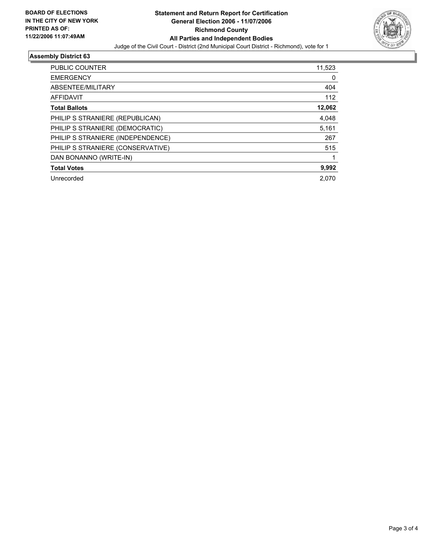

# **Assembly District 63**

| PUBLIC COUNTER                    | 11,523 |
|-----------------------------------|--------|
| <b>EMERGENCY</b>                  | 0      |
| ABSENTEE/MILITARY                 | 404    |
| <b>AFFIDAVIT</b>                  | 112    |
| <b>Total Ballots</b>              | 12,062 |
| PHILIP S STRANIERE (REPUBLICAN)   | 4,048  |
| PHILIP S STRANIERE (DEMOCRATIC)   | 5,161  |
| PHILIP S STRANIERE (INDEPENDENCE) | 267    |
| PHILIP S STRANIERE (CONSERVATIVE) | 515    |
| DAN BONANNO (WRITE-IN)            |        |
| <b>Total Votes</b>                | 9,992  |
| Unrecorded                        | 2,070  |